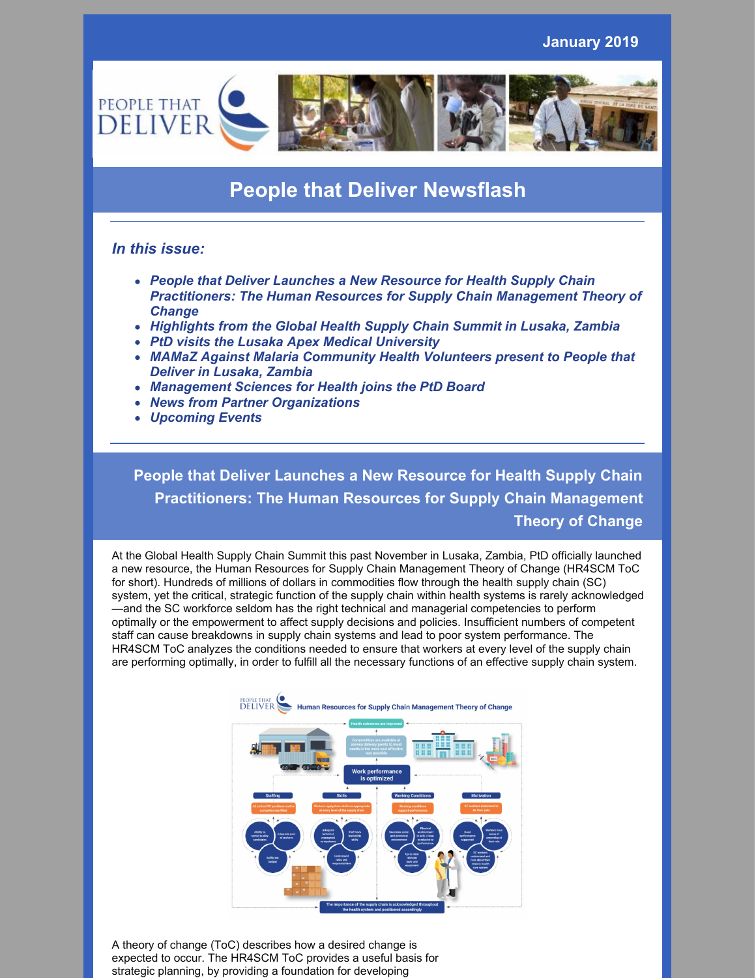**January 2019**



# **People that Deliver Newsflash**

### *In this issue:*

- *People that Deliver Launches a New Resource for Health Supply Chain Practitioners: The Human Resources for Supply Chain Management Theory of Change*
- *Highlights from the Global Health Supply Chain Summit in Lusaka, Zambia*
- *PtD visits the Lusaka Apex Medical University*
- *MAMaZ Against Malaria Community Health Volunteers present to People that Deliver in Lusaka, Zambia*
- *Management Sciences for Health joins the PtD Board*
- *News from Partner Organizations*
- *Upcoming Events*

**People that Deliver Launches a New Resource for Health Supply Chain Practitioners: The Human Resources for Supply Chain Management Theory of Change**

At the Global Health Supply Chain Summit this past November in Lusaka, Zambia, PtD officially launched a new resource, the Human Resources for Supply Chain Management Theory of Change (HR4SCM ToC for short). Hundreds of millions of dollars in commodities flow through the health supply chain (SC) system, yet the critical, strategic function of the supply chain within health systems is rarely acknowledged —and the SC workforce seldom has the right technical and managerial competencies to perform optimally or the empowerment to affect supply decisions and policies. Insufficient numbers of competent staff can cause breakdowns in supply chain systems and lead to poor system performance. The HR4SCM ToC analyzes the conditions needed to ensure that workers at every level of the supply chain are performing optimally, in order to fulfill all the necessary functions of an effective supply chain system.



A theory of change (ToC) describes how a desired change is expected to occur. The HR4SCM ToC provides a useful basis for strategic planning, by providing a foundation for developing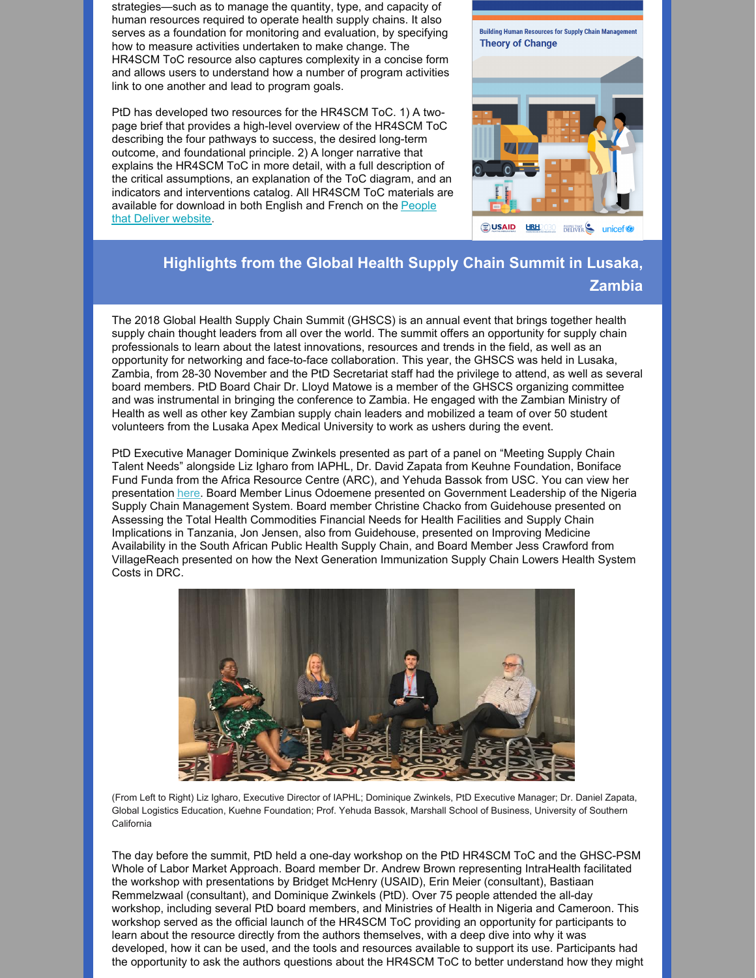strategies—such as to manage the quantity, type, and capacity of human resources required to operate health supply chains. It also serves as a foundation for monitoring and evaluation, by specifying how to measure activities undertaken to make change. The HR4SCM ToC resource also captures complexity in a concise form and allows users to understand how a number of program activities link to one another and lead to program goals.

PtD has developed two resources for the HR4SCM ToC. 1) A twopage brief that provides a high-level overview of the HR4SCM ToC describing the four pathways to success, the desired long-term outcome, and foundational principle. 2) A longer narrative that explains the HR4SCM ToC in more detail, with a full description of the critical assumptions, an explanation of the ToC diagram, and an indicators and interventions catalog. All HR4SCM ToC materials are available for [download](https://peoplethatdeliver.org/ptd/resources/human-resources-supply-chain-management-theory-change) in both English and French on the People that Deliver website.



# **Highlights from the Global Health Supply Chain Summit in Lusaka, Zambia**

The 2018 Global Health Supply Chain Summit (GHSCS) is an annual event that brings together health supply chain thought leaders from all over the world. The summit offers an opportunity for supply chain professionals to learn about the latest innovations, resources and trends in the field, as well as an opportunity for networking and face-to-face collaboration. This year, the GHSCS was held in Lusaka, Zambia, from 28-30 November and the PtD Secretariat staff had the privilege to attend, as well as several board members. PtD Board Chair Dr. Lloyd Matowe is a member of the GHSCS organizing committee and was instrumental in bringing the conference to Zambia. He engaged with the Zambian Ministry of Health as well as other key Zambian supply chain leaders and mobilized a team of over 50 student volunteers from the Lusaka Apex Medical University to work as ushers during the event.

PtD Executive Manager Dominique Zwinkels presented as part of a panel on "Meeting Supply Chain Talent Needs" alongside Liz Igharo from IAPHL, Dr. David Zapata from Keuhne Foundation, Boniface Fund Funda from the Africa Resource Centre (ARC), and Yehuda Bassok from USC. You can view her presentation **[here](https://files.constantcontact.com/737e53fa501/c4eb291a-7d62-49d0-bfb8-623059845a37.pdf). Board Member Linus Odoemene presented on Government Leadership of the Nigeria** Supply Chain Management System. Board member Christine Chacko from Guidehouse presented on Assessing the Total Health Commodities Financial Needs for Health Facilities and Supply Chain Implications in Tanzania, Jon Jensen, also from Guidehouse, presented on Improving Medicine Availability in the South African Public Health Supply Chain, and Board Member Jess Crawford from VillageReach presented on how the Next Generation Immunization Supply Chain Lowers Health System Costs in DRC.



(From Left to Right) Liz Igharo, Executive Director of IAPHL; Dominique Zwinkels, PtD Executive Manager; Dr. Daniel Zapata, Global Logistics Education, Kuehne Foundation; Prof. Yehuda Bassok, Marshall School of Business, University of Southern California

The day before the summit, PtD held a one-day workshop on the PtD HR4SCM ToC and the GHSC-PSM Whole of Labor Market Approach. Board member Dr. Andrew Brown representing IntraHealth facilitated the workshop with presentations by Bridget McHenry (USAID), Erin Meier (consultant), Bastiaan Remmelzwaal (consultant), and Dominique Zwinkels (PtD). Over 75 people attended the all-day workshop, including several PtD board members, and Ministries of Health in Nigeria and Cameroon. This workshop served as the official launch of the HR4SCM ToC providing an opportunity for participants to learn about the resource directly from the authors themselves, with a deep dive into why it was developed, how it can be used, and the tools and resources available to support its use. Participants had the opportunity to ask the authors questions about the HR4SCM ToC to better understand how they might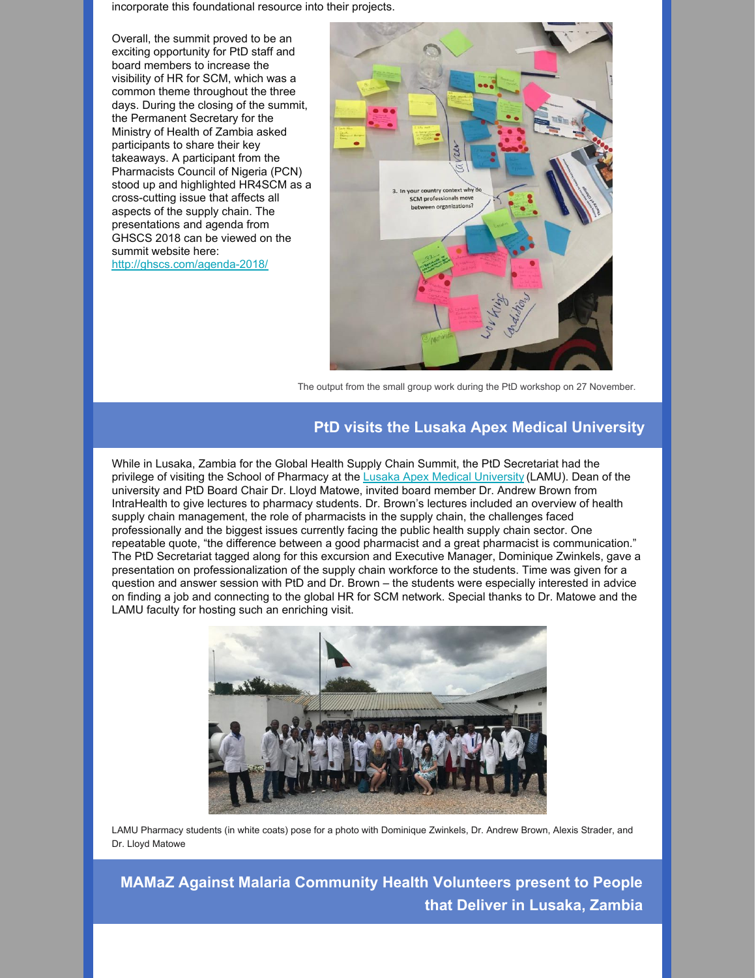incorporate this foundational resource into their projects.

Overall, the summit proved to be an exciting opportunity for PtD staff and board members to increase the visibility of HR for SCM, which was a common theme throughout the three days. During the closing of the summit, the Permanent Secretary for the Ministry of Health of Zambia asked participants to share their key takeaways. A participant from the Pharmacists Council of Nigeria (PCN) stood up and highlighted HR4SCM as a cross-cutting issue that affects all aspects of the supply chain. The presentations and agenda from GHSCS 2018 can be viewed on the summit website here: <http://ghscs.com/agenda-2018/>



The output from the small group work during the PtD workshop on 27 November.

### **PtD visits the Lusaka Apex Medical University**

While in Lusaka, Zambia for the Global Health Supply Chain Summit, the PtD Secretariat had the privilege of visiting the School of Pharmacy at the Lusaka Apex Medical [University](http://www.lamu.edu.zm/)(LAMU). Dean of the university and PtD Board Chair Dr. Lloyd Matowe, invited board member Dr. Andrew Brown from IntraHealth to give lectures to pharmacy students. Dr. Brown's lectures included an overview of health supply chain management, the role of pharmacists in the supply chain, the challenges faced professionally and the biggest issues currently facing the public health supply chain sector. One repeatable quote, "the difference between a good pharmacist and a great pharmacist is communication." The PtD Secretariat tagged along for this excursion and Executive Manager, Dominique Zwinkels, gave a presentation on professionalization of the supply chain workforce to the students. Time was given for a question and answer session with PtD and Dr. Brown – the students were especially interested in advice on finding a job and connecting to the global HR for SCM network. Special thanks to Dr. Matowe and the LAMU faculty for hosting such an enriching visit.



LAMU Pharmacy students (in white coats) pose for a photo with Dominique Zwinkels, Dr. Andrew Brown, Alexis Strader, and Dr. Lloyd Matowe

**MAMaZ Against Malaria Community Health Volunteers present to People that Deliver in Lusaka, Zambia**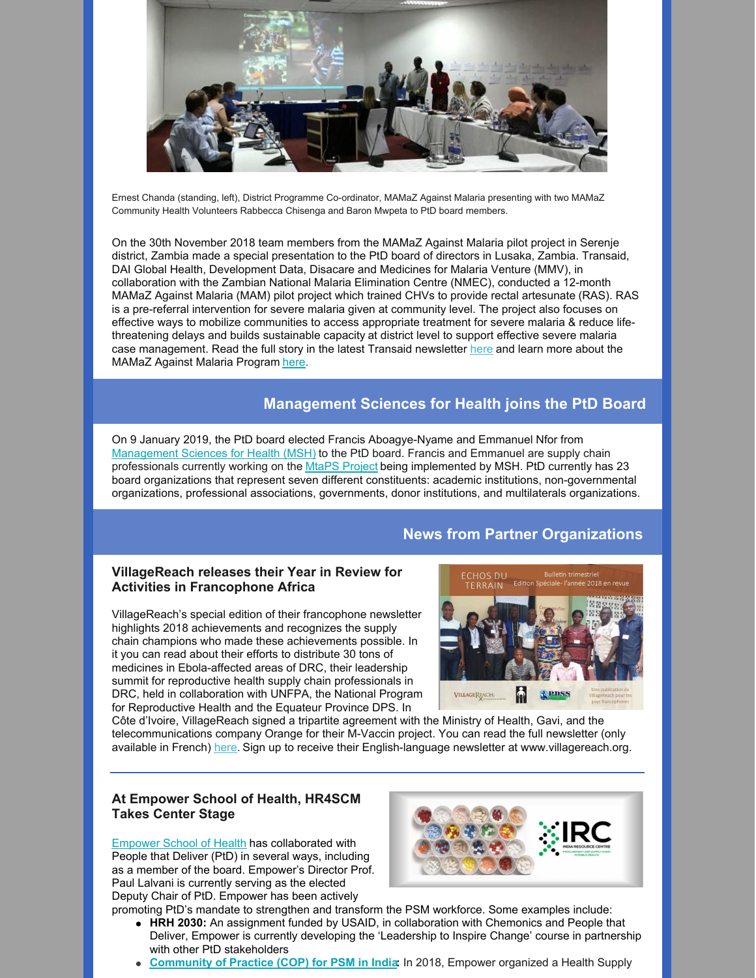

Ernest Chanda (standing, left), District Programme Co-ordinator, MAMaZ Against Malaria presenting with two MAMaZ Community Health Volunteers Rabbecca Chisenga and Baron Mwpeta to PtD board members.

On the 30th November 2018 team members from the MAMaZ Against Malaria pilot project in Serenje district, Zambia made a special presentation to the PtD board of directors in Lusaka, Zambia. Transaid, DAI Global Health, Development Data, Disacare and Medicines for Malaria Venture (MMV), in collaboration with the Zambian National Malaria Elimination Centre (NMEC), conducted a 12-month MAMaZ Against Malaria (MAM) pilot project which trained CHVs to provide rectal artesunate (RAS). RAS is a pre-referral intervention for severe malaria given at community level. The project also focuses on effective ways to mobilize communities to access appropriate treatment for severe malaria & reduce lifethreatening delays and builds sustainable capacity at district level to support effective severe malaria case management. Read the full story in the latest Transaid newsletter [here](https://mailchi.mp/transaid/transaid-programmes-update-16?e=f6b3fba340) and learn more about the MAMaZ Against Malaria Program [here](http://www.transaid.org/programmes/mamaz-against-malaria/).

# **Management Sciences for Health joins the PtD Board**

On 9 January 2019, the PtD board elected Francis Aboagye-Nyame and Emmanuel Nfor from [Management](https://www.msh.org/) Sciences for Health (MSH) to the PtD board. Francis and Emmanuel are supply chain professionals currently working on the [MtaPS](https://www.msh.org/our-work/projects/the-medicines-technologies-and-pharmaceutical-services-mtaps-program) Project being implemented by MSH. PtD currently has 23 board organizations that represent seven different constituents: academic institutions, non-governmental organizations, professional associations, governments, donor institutions, and multilaterals organizations.

### **News from Partner Organizations**

#### **VillageReach releases their Year in Review for Activities in Francophone Africa**

VillageReach's special edition of their francophone newsletter highlights 2018 achievements and recognizes the supply chain champions who made these achievements possible. In it you can read about their efforts to distribute 30 tons of medicines in Ebola-affected areas of DRC, their leadership summit for reproductive health supply chain professionals in DRC, held in collaboration with UNFPA, the National Program for Reproductive Health and the Equateur Province DPS. In



Côte d'Ivoire, VillageReach signed a tripartite agreement with the Ministry of Health, Gavi, and the telecommunications company Orange for their M-Vaccin project. You can read the full newsletter (only available in French) [here](https://files.constantcontact.com/737e53fa501/ea265085-3471-48bd-9bfc-1ffba10cb111.pdf). Sign up to receive their English-language newsletter at www.villagereach.org.

#### **At Empower School of Health, HR4SCM Takes Center Stage**

[Empower](https://www.empowerschoolofhealth.org/brochure-information) School of Health has collaborated with People that Deliver (PtD) in several ways, including as a member of the board. Empower's Director Prof. Paul Lalvani is currently serving as the elected Deputy Chair of PtD. Empower has been actively



promoting PtD's mandate to strengthen and transform the PSM workforce. Some examples include:

- **HRH 2030:** An assignment funded by USAID, in collaboration with Chemonics and People that Deliver, Empower is currently developing the 'Leadership to Inspire Change' course in partnership with other PtD stakeholders
- **[Community](https://www.empowerschoolofhealth.org/resources-enrollment-form) of Practice (COP) for PSM in India:** In 2018, Empower organized a Health Supply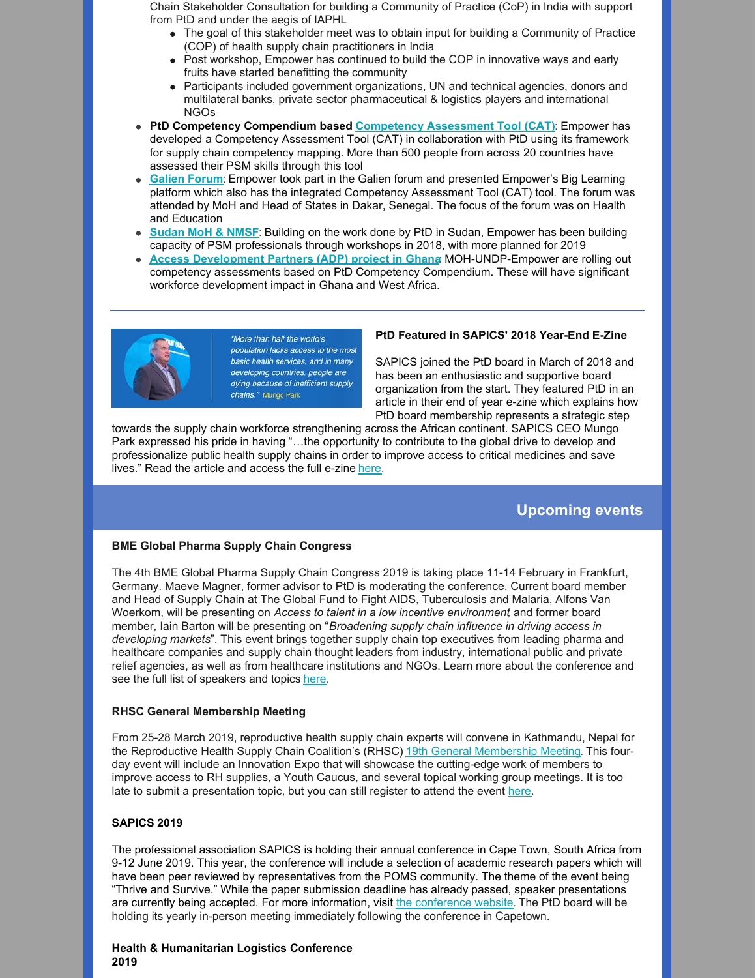Chain Stakeholder Consultation for building a Community of Practice (CoP) in India with support from PtD and under the aegis of IAPHL

- The goal of this stakeholder meet was to obtain input for building a Community of Practice (COP) of health supply chain practitioners in India
- Post workshop, Empower has continued to build the COP in innovative ways and early fruits have started benefitting the community
- Participants included government organizations, UN and technical agencies, donors and multilateral banks, private sector pharmaceutical & logistics players and international NGOs
- **PtD Competency Compendium based [Competency](http://cat.empowerschoolofhealth.org/) Assessment Tool (CAT)**: Empower has developed a Competency Assessment Tool (CAT) in collaboration with PtD using its framework for supply chain competency mapping. More than 500 people from across 20 countries have assessed their PSM skills through this tool
- **[Galien](http://www.galienfoundation.org/index.php/forum/) Forum**: Empower took part in the Galien forum and presented Empower's Big Learning platform which also has the integrated Competency Assessment Tool (CAT) tool. The forum was attended by MoH and Head of States in Dakar, Senegal. The focus of the forum was on Health and Education
- **[Sudan](https://www.empowerschoolofhealth.org/brochure-information) MoH & NMSF**: Building on the work done by PtD in Sudan, Empower has been building capacity of PSM professionals through workshops in 2018, with more planned for 2019
- **Access [Development](https://www.empowerschoolofhealth.org/brochure-information) Partners (ADP) project in Ghana**: MOH-UNDP-Empower are rolling out competency assessments based on PtD Competency Compendium. These will have significant workforce development impact in Ghana and West Africa.



"More than half the world's population lacks access to the most basic health services, and in many developing countries, people are dying because of inefficient supply chains." Mungo Park

#### **PtD Featured in SAPICS' 2018 Year-End E-Zine**

SAPICS joined the PtD board in March of 2018 and has been an enthusiastic and supportive board organization from the start. They featured PtD in an article in their end of year e-zine which explains how PtD board membership represents a strategic step

towards the supply chain workforce strengthening across the African continent. SAPICS CEO Mungo Park expressed his pride in having "…the opportunity to contribute to the global drive to develop and professionalize public health supply chains in order to improve access to critical medicines and save lives." Read the article and access the full e-zine [here](https://www.paperturn-view.com/sapics/sapics-2018-year-end-ezine?pid=Mzg38826&p=15&v=2.4).

# **Upcoming events**

#### **BME Global Pharma Supply Chain Congress**

The 4th BME Global Pharma Supply Chain Congress 2019 is taking place 11-14 February in Frankfurt, Germany. Maeve Magner, former advisor to PtD is moderating the conference. Current board member and Head of Supply Chain at The Global Fund to Fight AIDS, Tuberculosis and Malaria, Alfons Van Woerkom, will be presenting on *Access to talent in a low incentive environment*, and former board member, Iain Barton will be presenting on "*Broadening supply chain influence in driving access in developing markets*". This event brings together supply chain top executives from leading pharma and healthcare companies and supply chain thought leaders from industry, international public and private relief agencies, as well as from healthcare institutions and NGOs. Learn more about the conference and see the full list of speakers and topics [here](http://www.cvent.com/events/4th-bme-global-pharma-supply-chain-congress/fees-13c2ba3d7ea64d959195303bf55f183a.aspx).

#### **RHSC General Membership Meeting**

From 25-28 March 2019, reproductive health supply chain experts will convene in Kathmandu, Nepal for the Reproductive Health Supply Chain Coalition's (RHSC) 19th General [Membership](https://www.rhsupplies.org/gmm2019/register.php) Meeting. This fourday event will include an Innovation Expo that will showcase the cutting-edge work of members to improve access to RH supplies, a Youth Caucus, and several topical working group meetings. It is too late to submit a presentation topic, but you can still register to attend the event [here](https://www.rhsupplies.org/gmm2019/register.php).

#### **SAPICS 2019**

The professional association SAPICS is holding their annual conference in Cape Town, South Africa from 9-12 June 2019. This year, the conference will include a selection of academic research papers which will have been peer reviewed by representatives from the POMS community. The theme of the event being "Thrive and Survive." While the paper submission deadline has already passed, speaker presentations are currently being accepted. For more information, visit the [conference](https://conference.sapics.org/) website. The PtD board will be holding its yearly in-person meeting immediately following the conference in Capetown.

#### **Health & Humanitarian Logistics Conference 2019**